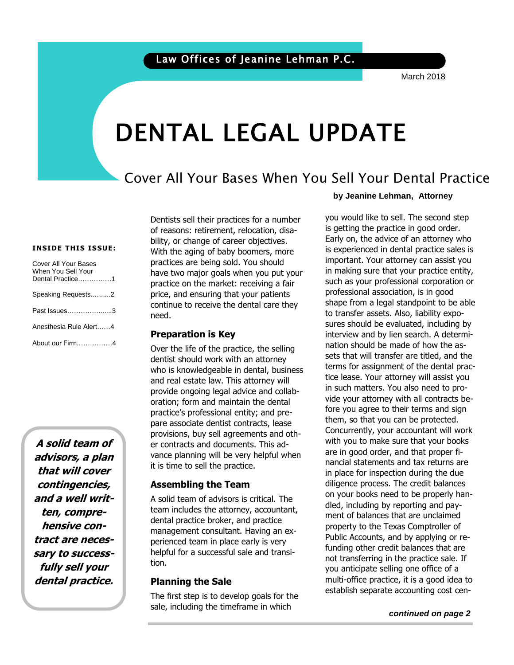March 2018

# DENTAL LEGAL UPDATE

### Cover All Your Bases When You Sell Your Dental Practice

#### **INSIDE THIS ISSUE:**

| Cover All Your Bases<br>When You Sell Your<br>Dental Practice1 |  |
|----------------------------------------------------------------|--|
| Speaking Requests2                                             |  |
| Past Issues3                                                   |  |
| Anesthesia Rule Alert4                                         |  |
| About our Firm4                                                |  |

**A solid team of advisors, a plan that will cover contingencies, and a well written, comprehensive contract are necessary to successfully sell your dental practice.**

Dentists sell their practices for a number of reasons: retirement, relocation, disability, or change of career objectives. With the aging of baby boomers, more practices are being sold. You should have two major goals when you put your practice on the market: receiving a fair price, and ensuring that your patients continue to receive the dental care they need.

### **Preparation is Key**

Over the life of the practice, the selling dentist should work with an attorney who is knowledgeable in dental, business and real estate law. This attorney will provide ongoing legal advice and collaboration; form and maintain the dental practice's professional entity; and prepare associate dentist contracts, lease provisions, buy sell agreements and other contracts and documents. This advance planning will be very helpful when it is time to sell the practice.

### **Assembling the Team**

A solid team of advisors is critical. The team includes the attorney, accountant, dental practice broker, and practice management consultant. Having an experienced team in place early is very helpful for a successful sale and transition.

### **Planning the Sale**

The first step is to develop goals for the sale, including the timeframe in which

#### **by Jeanine Lehman, Attorney**

 Early on, the advice of an attorney who important. Your attorney can assist you such as your professional corporation or<br>professional association, is in good you would like to sell. The second step is getting the practice in good order. is experienced in dental practice sales is in making sure that your practice entity, professional association, is in good shape from a legal standpoint to be able to transfer assets. Also, liability exposures should be evaluated, including by interview and by lien search. A determination should be made of how the assets that will transfer are titled, and the terms for assignment of the dental practice lease. Your attorney will assist you in such matters. You also need to provide your attorney with all contracts before you agree to their terms and sign them, so that you can be protected. Concurrently, your accountant will work with you to make sure that your books are in good order, and that proper financial statements and tax returns are in place for inspection during the due diligence process. The credit balances on your books need to be properly handled, including by reporting and payment of balances that are unclaimed property to the Texas Comptroller of Public Accounts, and by applying or refunding other credit balances that are not transferring in the practice sale. If you anticipate selling one office of a multi-office practice, it is a good idea to establish separate accounting cost cen-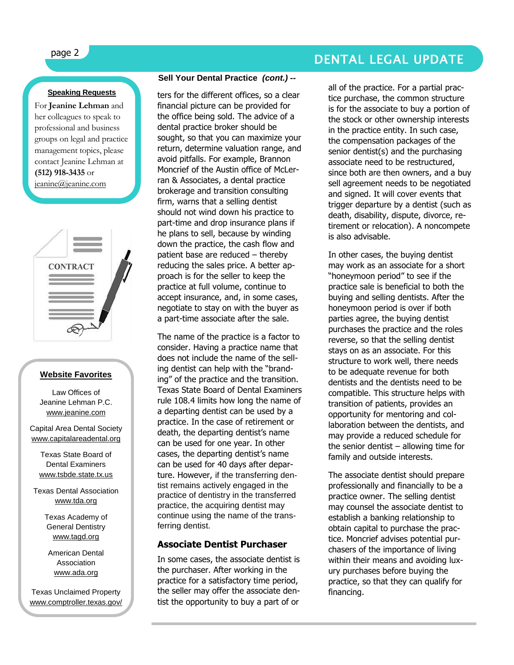### **Speaking Requests**

For **Jeanine Lehman** and her colleagues to speak to professional and business groups on legal and practice management topics, please contact Jeanine Lehman at **(512) 918-3435** or [jeanine@jeanine.com](mailto:jeanine@jeanine.com)

ì



### **Website Favorites**

Law Offices of Jeanine Lehman P.C. [www.jeanine.com](http://www.jeanine.com/)

Capital Area Dental Society [www.capitalareadental.org](http://www.capitalareadental.org/)

Texas State Board of Dental Examiners [www.tsbde.state.tx.us](http://www.tsbde.state.tx.us/)

Texas Dental Association [www.tda.org](http://www.tda.org/)

> Texas Academy of General Dentistry [www.tagd.org](http://www.tagd.org/)

American Dental Association [www.ada.org](http://www.ada.org/)

Texas Unclaimed Property [www.comptroller.texas.gov/](http://www.comptroller.texas.gov/up/) [up/](http://www.comptroller.texas.gov/up/)

### **Sell Your Dental Practice** *(cont.) --*

ters for the different offices, so a clear financial picture can be provided for the office being sold. The advice of a dental practice broker should be sought, so that you can maximize your return, determine valuation range, and avoid pitfalls. For example, Brannon Moncrief of the Austin office of McLerran & Associates, a dental practice brokerage and transition consulting firm, warns that a selling dentist should not wind down his practice to part-time and drop insurance plans if he plans to sell, because by winding down the practice, the cash flow and patient base are reduced – thereby reducing the sales price. A better approach is for the seller to keep the practice at full volume, continue to accept insurance, and, in some cases, negotiate to stay on with the buyer as a part-time associate after the sale.

The name of the practice is a factor to consider. Having a practice name that does not include the name of the selling dentist can help with the "branding" of the practice and the transition. Texas State Board of Dental Examiners rule 108.4 limits how long the name of a departing dentist can be used by a practice. In the case of retirement or death, the departing dentist's name can be used for one year. In other cases, the departing dentist's name can be used for 40 days after departure. However, if the transferring dentist remains actively engaged in the practice of dentistry in the transferred practice, the acquiring dentist may continue using the name of the transferring dentist.

### **Associate Dentist Purchaser**

In some cases, the associate dentist is the purchaser. After working in the practice for a satisfactory time period, the seller may offer the associate dentist the opportunity to buy a part of or

## page 2 DENTAL LEGAL UPDATE

all of the practice. For a partial practice purchase, the common structure is for the associate to buy a portion of the stock or other ownership interests in the practice entity. In such case, the compensation packages of the senior dentist(s) and the purchasing associate need to be restructured, since both are then owners, and a buy sell agreement needs to be negotiated and signed. It will cover events that trigger departure by a dentist (such as death, disability, dispute, divorce, retirement or relocation). A noncompete is also advisable.

In other cases, the buying dentist may work as an associate for a short "honeymoon period" to see if the practice sale is beneficial to both the buying and selling dentists. After the honeymoon period is over if both parties agree, the buying dentist purchases the practice and the roles reverse, so that the selling dentist stays on as an associate. For this structure to work well, there needs to be adequate revenue for both dentists and the dentists need to be compatible. This structure helps with transition of patients, provides an opportunity for mentoring and collaboration between the dentists, and may provide a reduced schedule for the senior dentist – allowing time for family and outside interests.

The associate dentist should prepare professionally and financially to be a practice owner. The selling dentist may counsel the associate dentist to establish a banking relationship to obtain capital to purchase the practice. Moncrief advises potential purchasers of the importance of living within their means and avoiding luxury purchases before buying the practice, so that they can qualify for financing.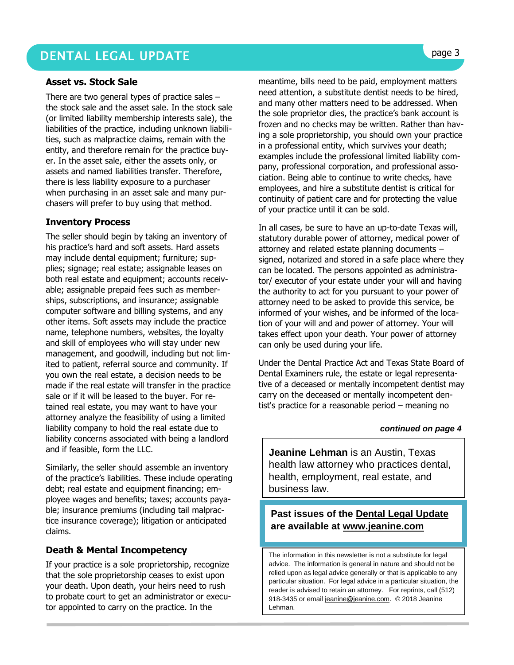### DENTAL LEGAL UPDATE **page 3**

### **Asset vs. Stock Sale**

There are two general types of practice sales – the stock sale and the asset sale. In the stock sale (or limited liability membership interests sale), the liabilities of the practice, including unknown liabilities, such as malpractice claims, remain with the entity, and therefore remain for the practice buyer. In the asset sale, either the assets only, or assets and named liabilities transfer. Therefore, there is less liability exposure to a purchaser when purchasing in an asset sale and many purchasers will prefer to buy using that method.

### **Inventory Process**

The seller should begin by taking an inventory of his practice's hard and soft assets. Hard assets may include dental equipment; furniture; supplies; signage; real estate; assignable leases on both real estate and equipment; accounts receivable; assignable prepaid fees such as memberships, subscriptions, and insurance; assignable computer software and billing systems, and any other items. Soft assets may include the practice name, telephone numbers, websites, the loyalty and skill of employees who will stay under new management, and goodwill, including but not limited to patient, referral source and community. If you own the real estate, a decision needs to be made if the real estate will transfer in the practice sale or if it will be leased to the buyer. For retained real estate, you may want to have your attorney analyze the feasibility of using a limited liability company to hold the real estate due to liability concerns associated with being a landlord and if feasible, form the LLC.

Similarly, the seller should assemble an inventory of the practice's liabilities. These include operating debt; real estate and equipment financing; employee wages and benefits; taxes; accounts payable; insurance premiums (including tail malpractice insurance coverage); litigation or anticipated claims.

### **Death & Mental Incompetency**

If your practice is a sole proprietorship, recognize that the sole proprietorship ceases to exist upon your death. Upon death, your heirs need to rush to probate court to get an administrator or executor appointed to carry on the practice. In the

meantime, bills need to be paid, employment matters need attention, a substitute dentist needs to be hired, and many other matters need to be addressed. When the sole proprietor dies, the practice's bank account is frozen and no checks may be written. Rather than having a sole proprietorship, you should own your practice in a professional entity, which survives your death; examples include the professional limited liability company, professional corporation, and professional association. Being able to continue to write checks, have employees, and hire a substitute dentist is critical for continuity of patient care and for protecting the value of your practice until it can be sold.

In all cases, be sure to have an up-to-date Texas will, statutory durable power of attorney, medical power of attorney and related estate planning documents – signed, notarized and stored in a safe place where they can be located. The persons appointed as administrator/ executor of your estate under your will and having the authority to act for you pursuant to your power of attorney need to be asked to provide this service, be informed of your wishes, and be informed of the location of your will and and power of attorney. Your will takes effect upon your death. Your power of attorney can only be used during your life.

Under the Dental Practice Act and Texas State Board of Dental Examiners rule, the estate or legal representative of a deceased or mentally incompetent dentist may carry on the deceased or mentally incompetent dentist's practice for a reasonable period – meaning no

#### *continued on page 4*

**Jeanine Lehman** is an Austin, Texas health law attorney who practices dental, health, employment, real estate, and business law.

### **Past issues of the Dental Legal Update are available at [www.jeanine.com](http://www.jeanine.com/)**

The information in this newsletter is not a substitute for legal advice. The information is general in nature and should not be relied upon as legal advice generally or that is applicable to any particular situation. For legal advice in a particular situation, the reader is advised to retain an attorney. For reprints, call (512) 918-3435 or email [jeanine@jeanine.com.](mailto:jeanine@jeanine.com) © 2018 Jeanine Lehman.